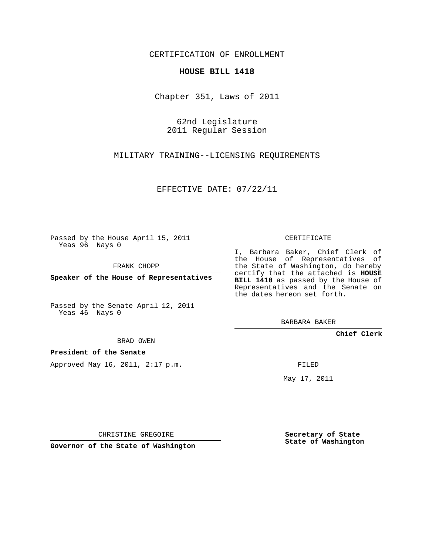CERTIFICATION OF ENROLLMENT

## **HOUSE BILL 1418**

Chapter 351, Laws of 2011

62nd Legislature 2011 Regular Session

MILITARY TRAINING--LICENSING REQUIREMENTS

EFFECTIVE DATE: 07/22/11

Passed by the House April 15, 2011 Yeas 96 Nays 0

FRANK CHOPP

**Speaker of the House of Representatives**

Passed by the Senate April 12, 2011 Yeas 46 Nays 0

the House of Representatives of the State of Washington, do hereby certify that the attached is **HOUSE BILL 1418** as passed by the House of Representatives and the Senate on the dates hereon set forth.

BARBARA BAKER

**Chief Clerk**

BRAD OWEN

**President of the Senate**

Approved May 16, 2011, 2:17 p.m.

FILED

May 17, 2011

**Secretary of State State of Washington**

CHRISTINE GREGOIRE

**Governor of the State of Washington**

CERTIFICATE I, Barbara Baker, Chief Clerk of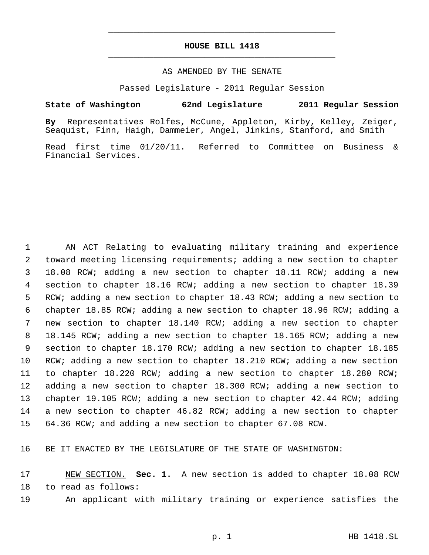## **HOUSE BILL 1418** \_\_\_\_\_\_\_\_\_\_\_\_\_\_\_\_\_\_\_\_\_\_\_\_\_\_\_\_\_\_\_\_\_\_\_\_\_\_\_\_\_\_\_\_\_

\_\_\_\_\_\_\_\_\_\_\_\_\_\_\_\_\_\_\_\_\_\_\_\_\_\_\_\_\_\_\_\_\_\_\_\_\_\_\_\_\_\_\_\_\_

## AS AMENDED BY THE SENATE

Passed Legislature - 2011 Regular Session

## **State of Washington 62nd Legislature 2011 Regular Session**

**By** Representatives Rolfes, McCune, Appleton, Kirby, Kelley, Zeiger, Seaquist, Finn, Haigh, Dammeier, Angel, Jinkins, Stanford, and Smith

Read first time 01/20/11. Referred to Committee on Business & Financial Services.

 AN ACT Relating to evaluating military training and experience toward meeting licensing requirements; adding a new section to chapter 18.08 RCW; adding a new section to chapter 18.11 RCW; adding a new section to chapter 18.16 RCW; adding a new section to chapter 18.39 RCW; adding a new section to chapter 18.43 RCW; adding a new section to chapter 18.85 RCW; adding a new section to chapter 18.96 RCW; adding a new section to chapter 18.140 RCW; adding a new section to chapter 18.145 RCW; adding a new section to chapter 18.165 RCW; adding a new section to chapter 18.170 RCW; adding a new section to chapter 18.185 RCW; adding a new section to chapter 18.210 RCW; adding a new section to chapter 18.220 RCW; adding a new section to chapter 18.280 RCW; adding a new section to chapter 18.300 RCW; adding a new section to chapter 19.105 RCW; adding a new section to chapter 42.44 RCW; adding a new section to chapter 46.82 RCW; adding a new section to chapter 64.36 RCW; and adding a new section to chapter 67.08 RCW.

BE IT ENACTED BY THE LEGISLATURE OF THE STATE OF WASHINGTON:

 NEW SECTION. **Sec. 1.** A new section is added to chapter 18.08 RCW to read as follows:

An applicant with military training or experience satisfies the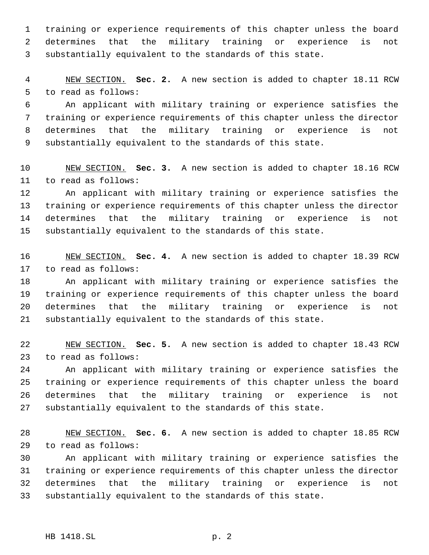training or experience requirements of this chapter unless the board determines that the military training or experience is not substantially equivalent to the standards of this state.

 NEW SECTION. **Sec. 2.** A new section is added to chapter 18.11 RCW to read as follows:

 An applicant with military training or experience satisfies the training or experience requirements of this chapter unless the director determines that the military training or experience is not substantially equivalent to the standards of this state.

 NEW SECTION. **Sec. 3.** A new section is added to chapter 18.16 RCW to read as follows:

 An applicant with military training or experience satisfies the training or experience requirements of this chapter unless the director determines that the military training or experience is not substantially equivalent to the standards of this state.

 NEW SECTION. **Sec. 4.** A new section is added to chapter 18.39 RCW to read as follows:

 An applicant with military training or experience satisfies the training or experience requirements of this chapter unless the board determines that the military training or experience is not substantially equivalent to the standards of this state.

 NEW SECTION. **Sec. 5.** A new section is added to chapter 18.43 RCW to read as follows:

 An applicant with military training or experience satisfies the training or experience requirements of this chapter unless the board determines that the military training or experience is not substantially equivalent to the standards of this state.

 NEW SECTION. **Sec. 6.** A new section is added to chapter 18.85 RCW to read as follows:

 An applicant with military training or experience satisfies the training or experience requirements of this chapter unless the director determines that the military training or experience is not substantially equivalent to the standards of this state.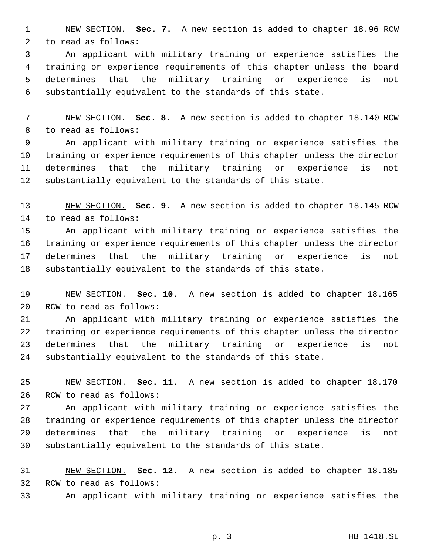NEW SECTION. **Sec. 7.** A new section is added to chapter 18.96 RCW to read as follows:

 An applicant with military training or experience satisfies the training or experience requirements of this chapter unless the board determines that the military training or experience is not substantially equivalent to the standards of this state.

 NEW SECTION. **Sec. 8.** A new section is added to chapter 18.140 RCW to read as follows:

 An applicant with military training or experience satisfies the training or experience requirements of this chapter unless the director determines that the military training or experience is not substantially equivalent to the standards of this state.

 NEW SECTION. **Sec. 9.** A new section is added to chapter 18.145 RCW to read as follows:

 An applicant with military training or experience satisfies the training or experience requirements of this chapter unless the director determines that the military training or experience is not substantially equivalent to the standards of this state.

 NEW SECTION. **Sec. 10.** A new section is added to chapter 18.165 RCW to read as follows:

 An applicant with military training or experience satisfies the training or experience requirements of this chapter unless the director determines that the military training or experience is not substantially equivalent to the standards of this state.

 NEW SECTION. **Sec. 11.** A new section is added to chapter 18.170 RCW to read as follows:

 An applicant with military training or experience satisfies the training or experience requirements of this chapter unless the director determines that the military training or experience is not substantially equivalent to the standards of this state.

 NEW SECTION. **Sec. 12.** A new section is added to chapter 18.185 RCW to read as follows:

An applicant with military training or experience satisfies the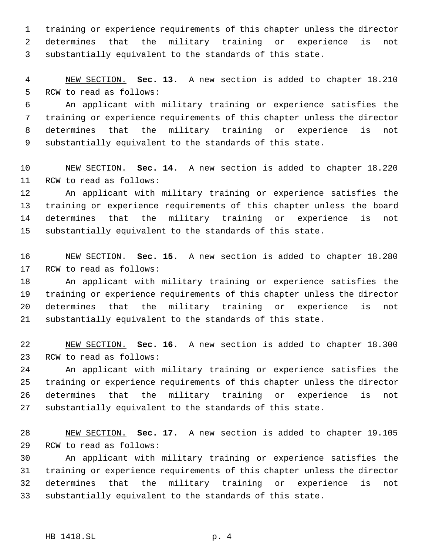training or experience requirements of this chapter unless the director determines that the military training or experience is not substantially equivalent to the standards of this state.

 NEW SECTION. **Sec. 13.** A new section is added to chapter 18.210 RCW to read as follows:

 An applicant with military training or experience satisfies the training or experience requirements of this chapter unless the director determines that the military training or experience is not substantially equivalent to the standards of this state.

 NEW SECTION. **Sec. 14.** A new section is added to chapter 18.220 RCW to read as follows:

 An applicant with military training or experience satisfies the training or experience requirements of this chapter unless the board determines that the military training or experience is not substantially equivalent to the standards of this state.

 NEW SECTION. **Sec. 15.** A new section is added to chapter 18.280 RCW to read as follows:

 An applicant with military training or experience satisfies the training or experience requirements of this chapter unless the director determines that the military training or experience is not substantially equivalent to the standards of this state.

 NEW SECTION. **Sec. 16.** A new section is added to chapter 18.300 RCW to read as follows:

 An applicant with military training or experience satisfies the training or experience requirements of this chapter unless the director determines that the military training or experience is not substantially equivalent to the standards of this state.

 NEW SECTION. **Sec. 17.** A new section is added to chapter 19.105 RCW to read as follows:

 An applicant with military training or experience satisfies the training or experience requirements of this chapter unless the director determines that the military training or experience is not substantially equivalent to the standards of this state.